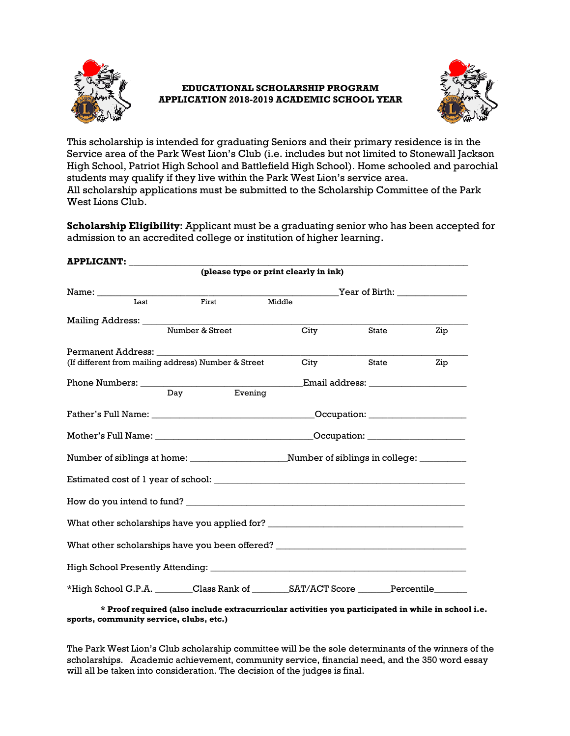

# **EDUCATIONAL SCHOLARSHIP PROGRAM APPLICATION 2018-2019 ACADEMIC SCHOOL YEAR**



This scholarship is intended for graduating Seniors and their primary residence is in the Service area of the Park West Lion's Club (i.e. includes but not limited to Stonewall Jackson High School, Patriot High School and Battlefield High School). Home schooled and parochial students may qualify if they live within the Park West Lion's service area. All scholarship applications must be submitted to the Scholarship Committee of the Park West Lions Club.

**Scholarship Eligibility**: Applicant must be a graduating senior who has been accepted for admission to an accredited college or institution of higher learning.

| APPLICANT: ____________                                                          |         |                                       |       |     |  |
|----------------------------------------------------------------------------------|---------|---------------------------------------|-------|-----|--|
|                                                                                  |         | (please type or print clearly in ink) |       |     |  |
|                                                                                  |         |                                       |       |     |  |
| $\overline{L}$ ast<br>First                                                      |         | Middle                                |       |     |  |
|                                                                                  |         |                                       |       |     |  |
| Number & Street                                                                  |         | <b>City</b>                           | State | Zip |  |
|                                                                                  |         |                                       |       |     |  |
| (If different from mailing address) Number & Street City                         |         |                                       | State | Zip |  |
|                                                                                  |         |                                       |       |     |  |
| Day                                                                              | Evening |                                       |       |     |  |
|                                                                                  |         |                                       |       |     |  |
|                                                                                  |         |                                       |       |     |  |
|                                                                                  |         |                                       |       |     |  |
|                                                                                  |         |                                       |       |     |  |
|                                                                                  |         |                                       |       |     |  |
| What other scholarships have you applied for? __________________________________ |         |                                       |       |     |  |
| What other scholarships have you been offered? _________________________________ |         |                                       |       |     |  |
|                                                                                  |         |                                       |       |     |  |
|                                                                                  |         |                                       |       |     |  |

**\* Proof required (also include extracurricular activities you participated in while in school i.e. sports, community service, clubs, etc.)** 

The Park West Lion's Club scholarship committee will be the sole determinants of the winners of the scholarships. Academic achievement, community service, financial need, and the 350 word essay will all be taken into consideration. The decision of the judges is final.